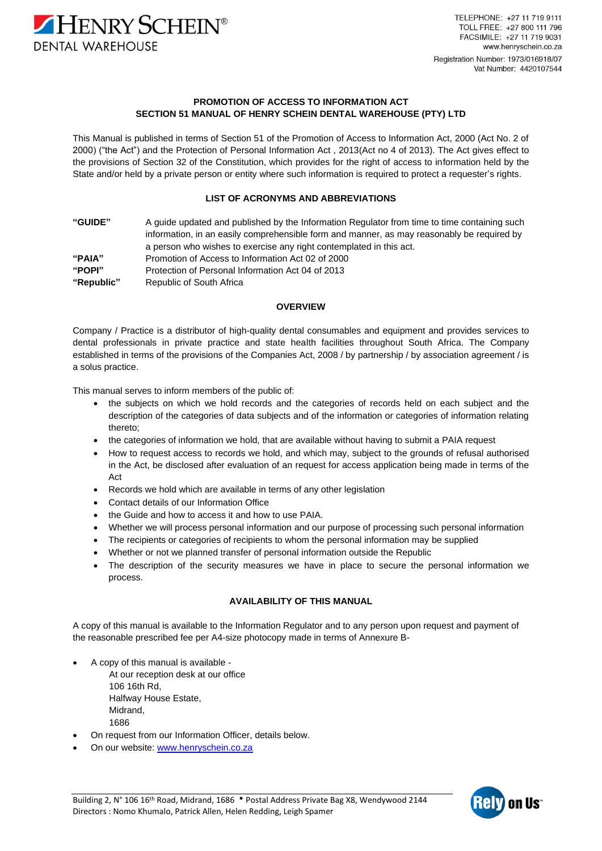

TELEPHONE: +27 11 719 9111 TOLL FREE: +27 800 111 796 FACSIMILE: +27 11 719 9031 www.henryschein.co.za Registration Number: 1973/016918/07 Vat Number: 4420107544

## **PROMOTION OF ACCESS TO INFORMATION ACT SECTION 51 MANUAL OF HENRY SCHEIN DENTAL WAREHOUSE (PTY) LTD**

This Manual is published in terms of Section 51 of the Promotion of Access to Information Act, 2000 (Act No. 2 of 2000) ("the Act") and the Protection of Personal Information Act , 2013(Act no 4 of 2013). The Act gives effect to the provisions of Section 32 of the Constitution, which provides for the right of access to information held by the State and/or held by a private person or entity where such information is required to protect a requester's rights.

## **LIST OF ACRONYMS AND ABBREVIATIONS**

**"GUIDE"** A guide updated and published by the Information Regulator from time to time containing such information, in an easily comprehensible form and manner, as may reasonably be required by a person who wishes to exercise any right contemplated in this act. **"PAIA"** Promotion of Access to Information Act 02 of 2000 **"POPI"** Protection of Personal Information Act 04 of 2013 **"Republic"** Republic of South Africa

## **OVERVIEW**

Company / Practice is a distributor of high-quality dental consumables and equipment and provides services to dental professionals in private practice and state health facilities throughout South Africa. The Company established in terms of the provisions of the Companies Act, 2008 / by partnership / by association agreement / is a solus practice.

This manual serves to inform members of the public of:

- the subjects on which we hold records and the categories of records held on each subject and the description of the categories of data subjects and of the information or categories of information relating thereto;
- the categories of information we hold, that are available without having to submit a PAIA request
- How to request access to records we hold, and which may, subject to the grounds of refusal authorised in the Act, be disclosed after evaluation of an request for access application being made in terms of the Act
- Records we hold which are available in terms of any other legislation
- Contact details of our Information Office
- the Guide and how to access it and how to use PAIA.
- Whether we will process personal information and our purpose of processing such personal information
- The recipients or categories of recipients to whom the personal information may be supplied
- Whether or not we planned transfer of personal information outside the Republic
- The description of the security measures we have in place to secure the personal information we process.

# **AVAILABILITY OF THIS MANUAL**

A copy of this manual is available to the Information Regulator and to any person upon request and payment of the reasonable prescribed fee per A4-size photocopy made in terms of Annexure B-

- A copy of this manual is available
	- At our reception desk at our office 106 16th Rd, Halfway House Estate, Midrand, 1686
- On request from our Information Officer, details below.
- On our website: [www.henryschein.co.za](http://www.henryschein.co.za/)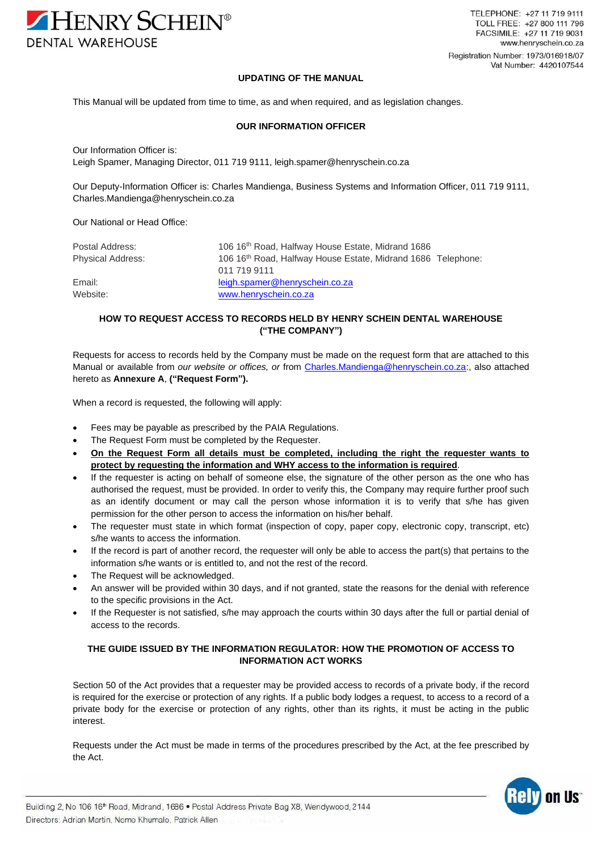

### **UPDATING OF THE MANUAL**

This Manual will be updated from time to time, as and when required, and as legislation changes.

### **OUR INFORMATION OFFICER**

Our Information Officer is: Leigh Spamer, Managing Director, 011 719 9111, leigh.spamer@henryschein.co.za

Our Deputy-Information Officer is: Charles Mandienga, Business Systems and Information Officer, 011 719 9111, [Charles.Mandienga@henryschein.co.za](mailto:Charles.Mandienga@henryschein.co.za)

Our National or Head Office:

| Postal Address:          | 106 16 <sup>th</sup> Road, Halfway House Estate, Midrand 1686 |
|--------------------------|---------------------------------------------------------------|
| <b>Physical Address:</b> | 106 16th Road, Halfway House Estate, Midrand 1686 Telephone:  |
|                          | 011 719 9111                                                  |
| Email:                   | leigh.spamer@henryschein.co.za                                |
| Website:                 | www.henryschein.co.za                                         |

# **HOW TO REQUEST ACCESS TO RECORDS HELD BY HENRY SCHEIN DENTAL WAREHOUSE ("THE COMPANY")**

Requests for access to records held by the Company must be made on the request form that are attached to this Manual or available from *our website or offices, or* from [Charles.Mandienga@henryschein.co.za:](mailto:Charles.Mandienga@henryschein.co.za), also attached hereto as **Annexure A**, **("Request Form").**

When a record is requested, the following will apply:

- Fees may be payable as prescribed by the PAIA Regulations.
- The Request Form must be completed by the Requester.
- **On the Request Form all details must be completed, including the right the requester wants to protect by requesting the information and WHY access to the information is required**.
- If the requester is acting on behalf of someone else, the signature of the other person as the one who has authorised the request, must be provided. In order to verify this, the Company may require further proof such as an identify document or may call the person whose information it is to verify that s/he has given permission for the other person to access the information on his/her behalf.
- The requester must state in which format (inspection of copy, paper copy, electronic copy, transcript, etc) s/he wants to access the information.
- If the record is part of another record, the requester will only be able to access the part(s) that pertains to the information s/he wants or is entitled to, and not the rest of the record.
- The Request will be acknowledged.
- An answer will be provided within 30 days, and if not granted, state the reasons for the denial with reference to the specific provisions in the Act.
- If the Requester is not satisfied, s/he may approach the courts within 30 days after the full or partial denial of access to the records.

# **THE GUIDE ISSUED BY THE INFORMATION REGULATOR: HOW THE PROMOTION OF ACCESS TO INFORMATION ACT WORKS**

Section 50 of the Act provides that a requester may be provided access to records of a private body, if the record is required for the exercise or protection of any rights. If a public body lodges a request, to access to a record of a private body for the exercise or protection of any rights, other than its rights, it must be acting in the public interest.

Requests under the Act must be made in terms of the procedures prescribed by the Act, at the fee prescribed by the Act.

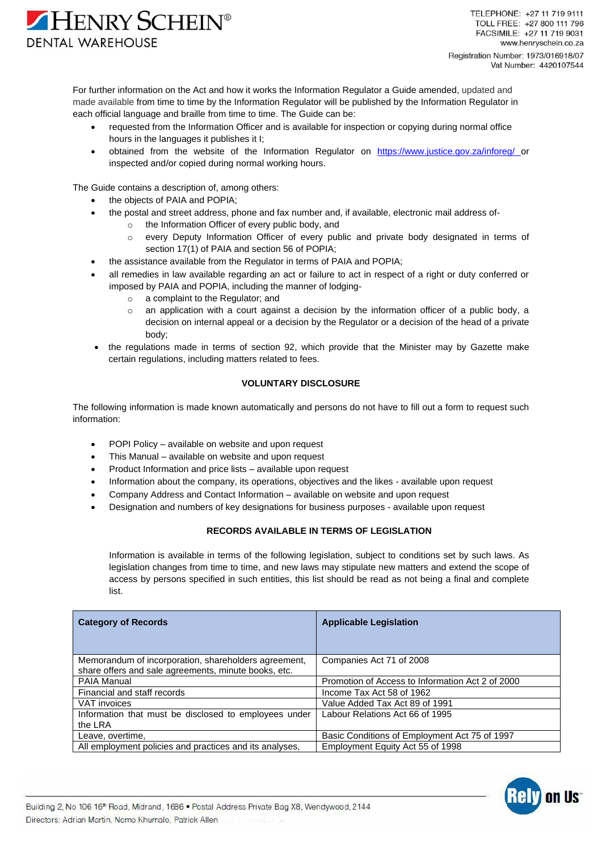

For further information on the Act and how it works the Information Regulator a Guide amended, updated and made available from time to time by the Information Regulator will be published by the Information Regulator in each official language and braille from time to time. The Guide can be:

- requested from the Information Officer and is available for inspection or copying during normal office hours in the languages it publishes it I;
- obtained from the website of the Information Regulator on <https://www.justice.gov.za/inforeg/> or inspected and/or copied during normal working hours.

The Guide contains a description of, among others:

- the objects of PAIA and POPIA;
- the postal and street address, phone and fax number and, if available, electronic mail address of
	- the Information Officer of every public body, and
		- o every Deputy Information Officer of every public and private body designated in terms of section 17(1) of PAIA and section 56 of POPIA;
- the assistance available from the Regulator in terms of PAIA and POPIA;
- all remedies in law available regarding an act or failure to act in respect of a right or duty conferred or imposed by PAIA and POPIA, including the manner of lodging
	- o a complaint to the Regulator; and
	- $\circ$  an application with a court against a decision by the information officer of a public body, a decision on internal appeal or a decision by the Regulator or a decision of the head of a private body;
- the regulations made in terms of section 92, which provide that the Minister may by Gazette make certain regulations, including matters related to fees.

# **VOLUNTARY DISCLOSURE**

The following information is made known automatically and persons do not have to fill out a form to request such information:

- POPI Policy available on website and upon request
- This Manual available on website and upon request
- Product Information and price lists available upon request
- Information about the company, its operations, objectives and the likes available upon request
- Company Address and Contact Information available on website and upon request
- Designation and numbers of key designations for business purposes available upon request

# **RECORDS AVAILABLE IN TERMS OF LEGISLATION**

Information is available in terms of the following legislation, subject to conditions set by such laws. As legislation changes from time to time, and new laws may stipulate new matters and extend the scope of access by persons specified in such entities, this list should be read as not being a final and complete list.

| <b>Category of Records</b>                                                                                   | <b>Applicable Legislation</b>                    |
|--------------------------------------------------------------------------------------------------------------|--------------------------------------------------|
| Memorandum of incorporation, shareholders agreement,<br>share offers and sale agreements, minute books, etc. | Companies Act 71 of 2008                         |
| PAIA Manual                                                                                                  | Promotion of Access to Information Act 2 of 2000 |
| Financial and staff records                                                                                  | Income Tax Act 58 of 1962                        |
| VAT invoices                                                                                                 | Value Added Tax Act 89 of 1991                   |
| Information that must be disclosed to employees under<br>the LRA                                             | Labour Relations Act 66 of 1995                  |
| Leave, overtime,                                                                                             | Basic Conditions of Employment Act 75 of 1997    |
| All employment policies and practices and its analyses.                                                      | Employment Equity Act 55 of 1998                 |

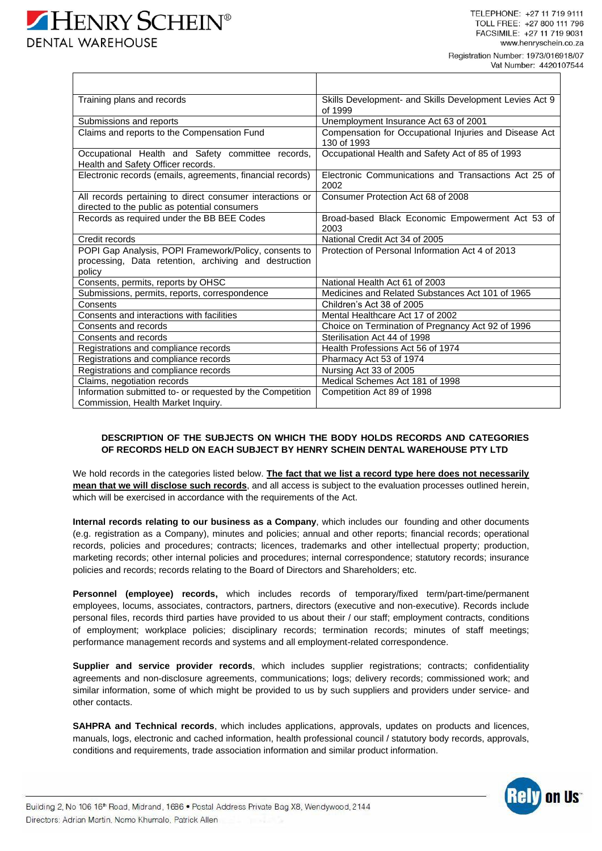Vat Number: 4420107544

| Training plans and records                                                                                 | Skills Development- and Skills Development Levies Act 9<br>of 1999    |
|------------------------------------------------------------------------------------------------------------|-----------------------------------------------------------------------|
| Submissions and reports                                                                                    | Unemployment Insurance Act 63 of 2001                                 |
| Claims and reports to the Compensation Fund                                                                | Compensation for Occupational Injuries and Disease Act<br>130 of 1993 |
| Occupational Health and Safety committee records,<br>Health and Safety Officer records.                    | Occupational Health and Safety Act of 85 of 1993                      |
| Electronic records (emails, agreements, financial records)                                                 | Electronic Communications and Transactions Act 25 of<br>2002          |
| All records pertaining to direct consumer interactions or<br>directed to the public as potential consumers | Consumer Protection Act 68 of 2008                                    |
| Records as required under the BB BEE Codes                                                                 | Broad-based Black Economic Empowerment Act 53 of<br>2003              |
| Credit records                                                                                             | National Credit Act 34 of 2005                                        |
| POPI Gap Analysis, POPI Framework/Policy, consents to                                                      | Protection of Personal Information Act 4 of 2013                      |
| processing, Data retention, archiving and destruction<br>policy                                            |                                                                       |
| Consents, permits, reports by OHSC                                                                         | National Health Act 61 of 2003                                        |
| Submissions, permits, reports, correspondence                                                              | Medicines and Related Substances Act 101 of 1965                      |
| Consents                                                                                                   | Children's Act 38 of 2005                                             |
| Consents and interactions with facilities                                                                  | Mental Healthcare Act 17 of 2002                                      |
| Consents and records                                                                                       | Choice on Termination of Pregnancy Act 92 of 1996                     |
| Consents and records                                                                                       | Sterilisation Act 44 of 1998                                          |
| Registrations and compliance records                                                                       | Health Professions Act 56 of 1974                                     |
| Registrations and compliance records                                                                       | Pharmacy Act 53 of 1974                                               |
| Registrations and compliance records                                                                       | Nursing Act 33 of 2005                                                |
| Claims, negotiation records                                                                                | Medical Schemes Act 181 of 1998                                       |
| Information submitted to- or requested by the Competition<br>Commission, Health Market Inquiry.            | Competition Act 89 of 1998                                            |

# **DESCRIPTION OF THE SUBJECTS ON WHICH THE BODY HOLDS RECORDS AND CATEGORIES OF RECORDS HELD ON EACH SUBJECT BY HENRY SCHEIN DENTAL WAREHOUSE PTY LTD**

We hold records in the categories listed below. **The fact that we list a record type here does not necessarily mean that we will disclose such records**, and all access is subject to the evaluation processes outlined herein, which will be exercised in accordance with the requirements of the Act.

**Internal records relating to our business as a Company**, which includes our founding and other documents (e.g. registration as a Company), minutes and policies; annual and other reports; financial records; operational records, policies and procedures; contracts; licences, trademarks and other intellectual property; production, marketing records; other internal policies and procedures; internal correspondence; statutory records; insurance policies and records; records relating to the Board of Directors and Shareholders; etc.

**Personnel (employee) records,** which includes records of temporary/fixed term/part-time/permanent employees, locums, associates, contractors, partners, directors (executive and non-executive). Records include personal files, records third parties have provided to us about their / our staff; employment contracts, conditions of employment; workplace policies; disciplinary records; termination records; minutes of staff meetings; performance management records and systems and all employment-related correspondence.

**Supplier and service provider records**, which includes supplier registrations; contracts; confidentiality agreements and non-disclosure agreements, communications; logs; delivery records; commissioned work; and similar information, some of which might be provided to us by such suppliers and providers under service- and other contacts.

**SAHPRA and Technical records**, which includes applications, approvals, updates on products and licences, manuals, logs, electronic and cached information, health professional council / statutory body records, approvals, conditions and requirements, trade association information and similar product information.

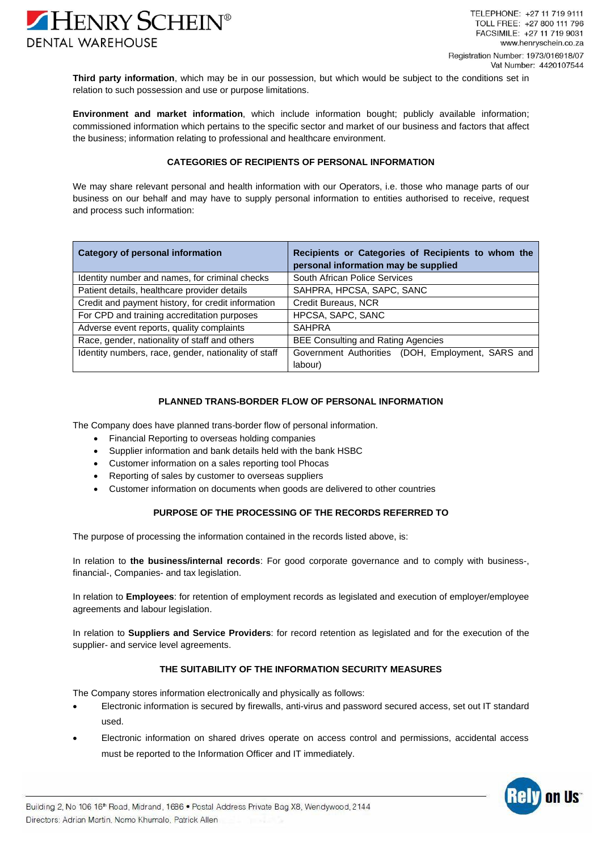

**Third party information**, which may be in our possession, but which would be subject to the conditions set in relation to such possession and use or purpose limitations.

**Environment and market information**, which include information bought; publicly available information; commissioned information which pertains to the specific sector and market of our business and factors that affect the business; information relating to professional and healthcare environment.

## **CATEGORIES OF RECIPIENTS OF PERSONAL INFORMATION**

We may share relevant personal and health information with our Operators, i.e. those who manage parts of our business on our behalf and may have to supply personal information to entities authorised to receive, request and process such information:

| <b>Category of personal information</b>              | Recipients or Categories of Recipients to whom the<br>personal information may be supplied |
|------------------------------------------------------|--------------------------------------------------------------------------------------------|
| Identity number and names, for criminal checks       | South African Police Services                                                              |
| Patient details, healthcare provider details         | SAHPRA, HPCSA, SAPC, SANC                                                                  |
| Credit and payment history, for credit information   | Credit Bureaus, NCR                                                                        |
| For CPD and training accreditation purposes          | HPCSA, SAPC, SANC                                                                          |
| Adverse event reports, quality complaints            | <b>SAHPRA</b>                                                                              |
| Race, gender, nationality of staff and others        | <b>BEE Consulting and Rating Agencies</b>                                                  |
| Identity numbers, race, gender, nationality of staff | Government Authorities (DOH, Employment, SARS and<br>labour)                               |

#### **PLANNED TRANS-BORDER FLOW OF PERSONAL INFORMATION**

The Company does have planned trans-border flow of personal information.

- Financial Reporting to overseas holding companies
- Supplier information and bank details held with the bank HSBC
- Customer information on a sales reporting tool Phocas
- Reporting of sales by customer to overseas suppliers
- Customer information on documents when goods are delivered to other countries

# **PURPOSE OF THE PROCESSING OF THE RECORDS REFERRED TO**

The purpose of processing the information contained in the records listed above, is:

In relation to **the business/internal records**: For good corporate governance and to comply with business-, financial-, Companies- and tax legislation.

In relation to **Employees**: for retention of employment records as legislated and execution of employer/employee agreements and labour legislation.

In relation to **Suppliers and Service Providers**: for record retention as legislated and for the execution of the supplier- and service level agreements.

# **THE SUITABILITY OF THE INFORMATION SECURITY MEASURES**

The Company stores information electronically and physically as follows:

- Electronic information is secured by firewalls, anti-virus and password secured access, set out IT standard used.
- Electronic information on shared drives operate on access control and permissions, accidental access must be reported to the Information Officer and IT immediately.

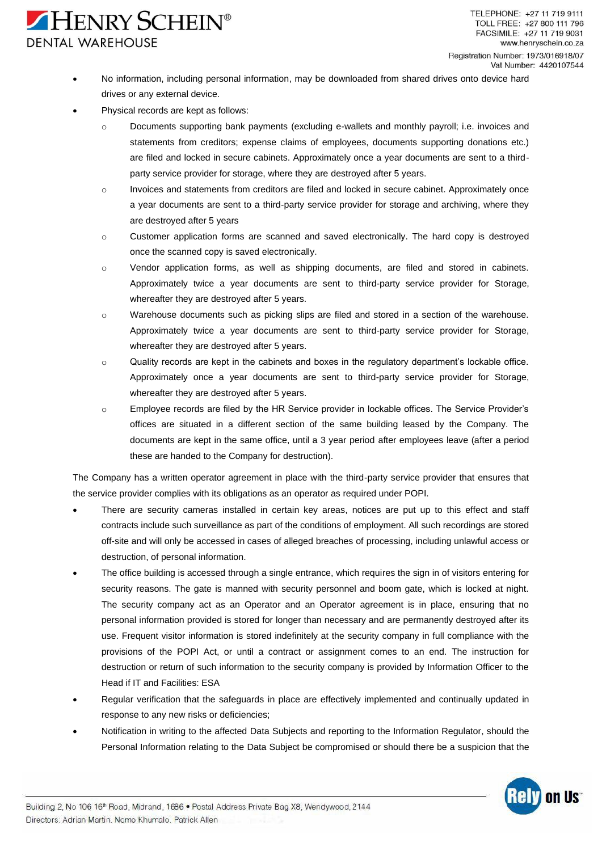# HENRY SCHEIN® **DENTAL WAREHOUSE**

- No information, including personal information, may be downloaded from shared drives onto device hard drives or any external device.
- Physical records are kept as follows:
	- o Documents supporting bank payments (excluding e-wallets and monthly payroll; i.e. invoices and statements from creditors; expense claims of employees, documents supporting donations etc.) are filed and locked in secure cabinets. Approximately once a year documents are sent to a thirdparty service provider for storage, where they are destroyed after 5 years.
	- o Invoices and statements from creditors are filed and locked in secure cabinet. Approximately once a year documents are sent to a third-party service provider for storage and archiving, where they are destroyed after 5 years
	- o Customer application forms are scanned and saved electronically. The hard copy is destroyed once the scanned copy is saved electronically.
	- o Vendor application forms, as well as shipping documents, are filed and stored in cabinets. Approximately twice a year documents are sent to third-party service provider for Storage, whereafter they are destroyed after 5 years.
	- o Warehouse documents such as picking slips are filed and stored in a section of the warehouse. Approximately twice a year documents are sent to third-party service provider for Storage, whereafter they are destroyed after 5 years.
	- o Quality records are kept in the cabinets and boxes in the regulatory department's lockable office. Approximately once a year documents are sent to third-party service provider for Storage, whereafter they are destroyed after 5 years.
	- o Employee records are filed by the HR Service provider in lockable offices. The Service Provider's offices are situated in a different section of the same building leased by the Company. The documents are kept in the same office, until a 3 year period after employees leave (after a period these are handed to the Company for destruction).

The Company has a written operator agreement in place with the third-party service provider that ensures that the service provider complies with its obligations as an operator as required under POPI.

- There are security cameras installed in certain key areas, notices are put up to this effect and staff contracts include such surveillance as part of the conditions of employment. All such recordings are stored off-site and will only be accessed in cases of alleged breaches of processing, including unlawful access or destruction, of personal information.
- The office building is accessed through a single entrance, which requires the sign in of visitors entering for security reasons. The gate is manned with security personnel and boom gate, which is locked at night. The security company act as an Operator and an Operator agreement is in place, ensuring that no personal information provided is stored for longer than necessary and are permanently destroyed after its use. Frequent visitor information is stored indefinitely at the security company in full compliance with the provisions of the POPI Act, or until a contract or assignment comes to an end. The instruction for destruction or return of such information to the security company is provided by Information Officer to the Head if IT and Facilities: ESA
- Regular verification that the safeguards in place are effectively implemented and continually updated in response to any new risks or deficiencies;
- Notification in writing to the affected Data Subjects and reporting to the Information Regulator, should the Personal Information relating to the Data Subject be compromised or should there be a suspicion that the

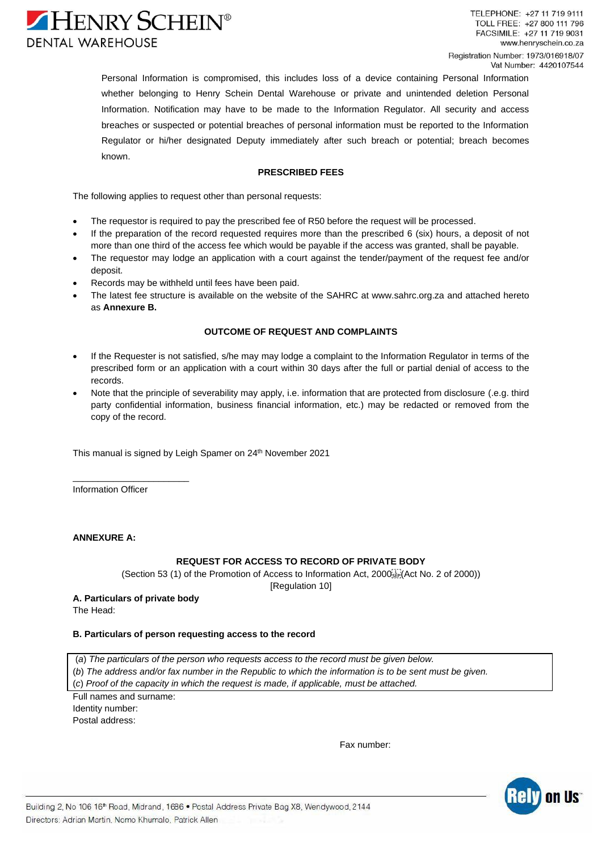

Personal Information is compromised, this includes loss of a device containing Personal Information whether belonging to Henry Schein Dental Warehouse or private and unintended deletion Personal Information. Notification may have to be made to the Information Regulator. All security and access breaches or suspected or potential breaches of personal information must be reported to the Information Regulator or hi/her designated Deputy immediately after such breach or potential; breach becomes known.

# **PRESCRIBED FEES**

The following applies to request other than personal requests:

- The requestor is required to pay the prescribed fee of R50 before the request will be processed.
- If the preparation of the record requested requires more than the prescribed 6 (six) hours, a deposit of not more than one third of the access fee which would be payable if the access was granted, shall be payable.
- The requestor may lodge an application with a court against the tender/payment of the request fee and/or deposit.
- Records may be withheld until fees have been paid.
- The latest fee structure is available on the website of the SAHRC at [www.sahrc.org.za](http://www.sahrc.org.za/) and attached hereto as **Annexure B.**

## **OUTCOME OF REQUEST AND COMPLAINTS**

- If the Requester is not satisfied, s/he may may lodge a complaint to the Information Regulator in terms of the prescribed form or an application with a court within 30 days after the full or partial denial of access to the records.
- Note that the principle of severability may apply, i.e. information that are protected from disclosure (.e.g. third party confidential information, business financial information, etc.) may be redacted or removed from the copy of the record.

This manual is signed by Leigh Spamer on 24<sup>th</sup> November 2021

Information Officer

\_\_\_\_\_\_\_\_\_\_\_\_\_\_\_\_\_\_\_\_\_\_\_

## **ANNEXURE A:**

# **REQUEST FOR ACCESS TO RECORD OF PRIVATE BODY**

[\(Section](http://www.mylexisnexis.co.za/nxt/gateway.dll/jilc/kilc/xjsg/1tsg/3tsg/fwmsb/wxmsb#g1) 53 (1) of the Promotion of Access to Information Act, 2000 stel (Act [No. 2 of 2000\)](http://www.mylexisnexis.co.za/nxt/gateway.dll/jilc/kilc/xjsg/1tsg/3tsg/fwmsb#g0))

[\[Regulation 10\]](http://www.mylexisnexis.co.za/nxt/gateway.dll/jilc/kilc/xjsg/1tsg/6tsg/6jvsb/7jvsb/kkvsb#g0)

**A. Particulars of private body**

The Head:

#### **B. Particulars of person requesting access to the record**

(*a*) *The particulars of the person who requests access to the record must be given below.* (*b*) *The address and/or fax number in the Republic to which the information is to be sent must be given.* (*c*) *Proof of the capacity in which the request is made, if applicable, must be attached.*

Full names and surname: Identity number: Postal address:

Fax number:

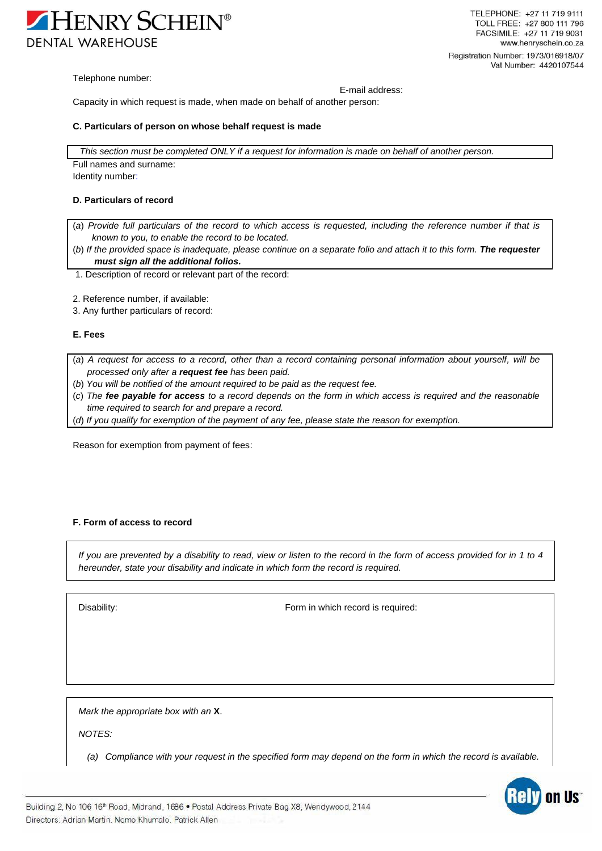

Telephone number:

E-mail address:

Capacity in which request is made, when made on behalf of another person:

#### **C. Particulars of person on whose behalf request is made**

*This section must be completed ONLY if a request for information is made on behalf of another person.* Full names and surname:

Identity number:

#### **D. Particulars of record**

- (*a*) *Provide full particulars of the record to which access is requested, including the reference number if that is known to you, to enable the record to be located.*
- (*b*) *If the provided space is inadequate, please continue on a separate folio and attach it to this form. The requester must sign all the additional folios.*
- 1. Description of record or relevant part of the record:
- 2. Reference number, if available:
- 3. Any further particulars of record:

#### **E. Fees**

- (*a*) *A request for access to a record, other than a record containing personal information about yourself, will be processed only after a request fee has been paid.*
- (*b*) *You will be notified of the amount required to be paid as the request fee.*
- (*c*) *The fee payable for access to a record depends on the form in which access is required and the reasonable time required to search for and prepare a record.*
- (*d*) *If you qualify for exemption of the payment of any fee, please state the reason for exemption.*

Reason for exemption from payment of fees:

## **F. Form of access to record**

*If you are prevented by a disability to read, view or listen to the record in the form of access provided for in 1 to 4 hereunder, state your disability and indicate in which form the record is required.*

Disability: Disability: **Form** in which record is required:

*Mark the appropriate box with an* **X**.

*NOTES:*

*(a) Compliance with your request in the specified form may depend on the form in which the record is available.*

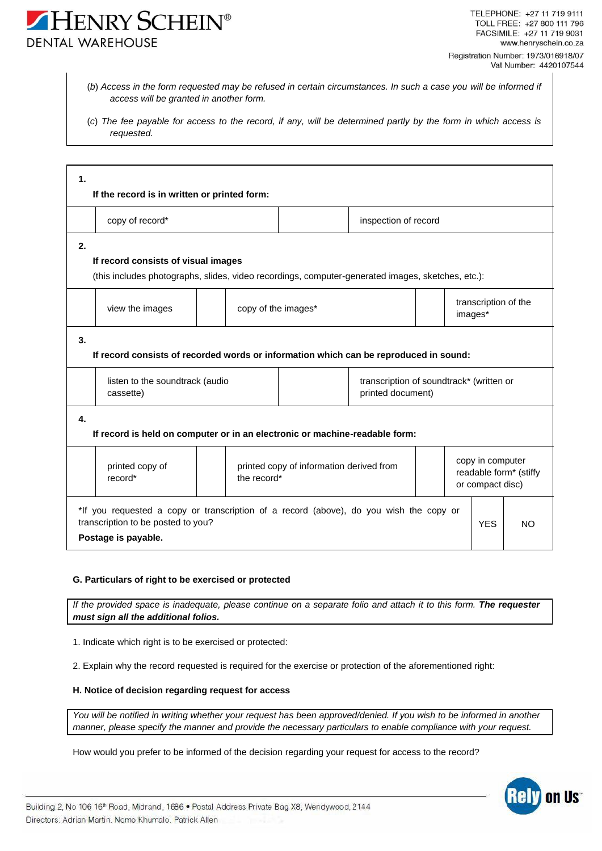- (*b*) *Access in the form requested may be refused in certain circumstances. In such a case you will be informed if access will be granted in another form.*
- (*c*) *The fee payable for access to the record, if any, will be determined partly by the form in which access is requested.*

| 1.<br>If the record is in written or printed form:                                                                                                  |                                 |                                          |                                                               |            |                                                                |  |
|-----------------------------------------------------------------------------------------------------------------------------------------------------|---------------------------------|------------------------------------------|---------------------------------------------------------------|------------|----------------------------------------------------------------|--|
| copy of record*                                                                                                                                     |                                 | inspection of record                     |                                                               |            |                                                                |  |
| 2.<br>If record consists of visual images                                                                                                           |                                 |                                          |                                                               |            |                                                                |  |
| (this includes photographs, slides, video recordings, computer-generated images, sketches, etc.):                                                   |                                 |                                          |                                                               |            |                                                                |  |
| view the images                                                                                                                                     |                                 | copy of the images*                      |                                                               |            | transcription of the<br>images*                                |  |
| 3.<br>If record consists of recorded words or information which can be reproduced in sound:                                                         |                                 |                                          |                                                               |            |                                                                |  |
| cassette)                                                                                                                                           | listen to the soundtrack (audio |                                          | transcription of soundtrack* (written or<br>printed document) |            |                                                                |  |
| 4.<br>If record is held on computer or in an electronic or machine-readable form:                                                                   |                                 |                                          |                                                               |            |                                                                |  |
| printed copy of<br>record*                                                                                                                          | the record*                     | printed copy of information derived from |                                                               |            | copy in computer<br>readable form* (stiffy<br>or compact disc) |  |
| *If you requested a copy or transcription of a record (above), do you wish the copy or<br>transcription to be posted to you?<br>Postage is payable. |                                 |                                          |                                                               | <b>YES</b> | NO.                                                            |  |

# **G. Particulars of right to be exercised or protected**

*If* the provided space is inadequate, please continue on a separate folio and attach it to this form. **The requester** *must sign all the additional folios.*

1. Indicate which right is to be exercised or protected:

2. Explain why the record requested is required for the exercise or protection of the aforementioned right:

# **H. Notice of decision regarding request for access**

*You will be notified in writing whether your request has been approved/denied. If you wish to be informed in another manner, please specify the manner and provide the necessary particulars to enable compliance with your request.*

How would you prefer to be informed of the decision regarding your request for access to the record?

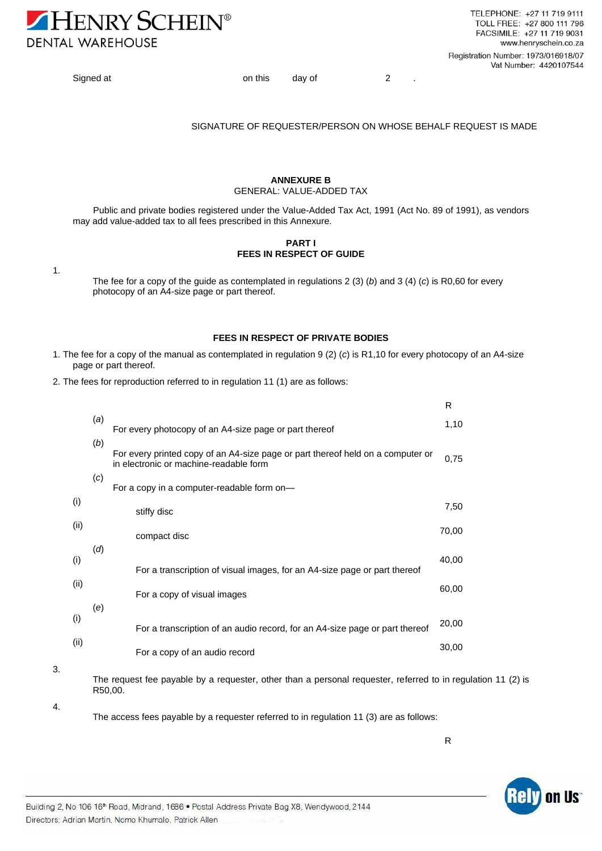

Signed at on this day of 2 .

#### SIGNATURE OF REQUESTER/PERSON ON WHOSE BEHALF REQUEST IS MADE

#### **ANNEXURE B** GENERAL: VALUE-ADDED TAX

Public and private bodies registered under the Value-Added Tax Act, 1991 (Act No. 89 of 1991), as vendors may add value-added tax to all fees prescribed in this Annexure.

## **PART I FEES IN RESPECT OF GUIDE**

1.

The fee for a copy of the guide as contemplated in regulations 2 (3) (*b*) and 3 (4) (*c*) is R0,60 for every photocopy of an A4-size page or part thereof.

## **FEES IN RESPECT OF PRIVATE BODIES**

- 1. The fee for a copy of the manual as contemplated in regulation 9 (2) (*c*) is R1,10 for every photocopy of an A4-size page or part thereof.
- 2. The fees for reproduction referred to in regulation 11 (1) are as follows:

|      |     |                                                                                                                           | R     |
|------|-----|---------------------------------------------------------------------------------------------------------------------------|-------|
|      | (a) | For every photocopy of an A4-size page or part thereof                                                                    | 1,10  |
|      | (b) | For every printed copy of an A4-size page or part thereof held on a computer or<br>in electronic or machine-readable form | 0,75  |
|      | (c) | For a copy in a computer-readable form on-                                                                                |       |
| (i)  |     | stiffy disc                                                                                                               | 7,50  |
| (ii) |     | compact disc                                                                                                              | 70,00 |
| (i)  | (d) |                                                                                                                           | 40,00 |
|      |     | For a transcription of visual images, for an A4-size page or part thereof                                                 |       |
| (ii) |     | For a copy of visual images                                                                                               | 60,00 |
| (i)  | (e) |                                                                                                                           |       |
|      |     | For a transcription of an audio record, for an A4-size page or part thereof                                               | 20,00 |
| (ii) |     | For a copy of an audio record                                                                                             | 30,00 |
|      |     |                                                                                                                           |       |

3.

The request fee payable by a requester, other than a personal requester, referred to in regulation 11 (2) is R50,00.

4.

The access fees payable by a requester referred to in regulation 11 (3) are as follows:

R